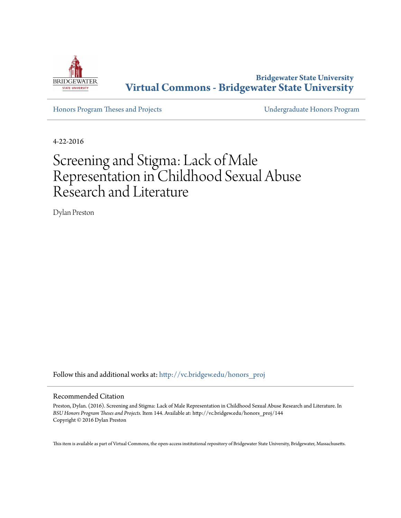

**Bridgewater State University [Virtual Commons - Bridgewater State University](http://vc.bridgew.edu?utm_source=vc.bridgew.edu%2Fhonors_proj%2F144&utm_medium=PDF&utm_campaign=PDFCoverPages)**

[Honors Program Theses and Projects](http://vc.bridgew.edu/honors_proj?utm_source=vc.bridgew.edu%2Fhonors_proj%2F144&utm_medium=PDF&utm_campaign=PDFCoverPages) [Undergraduate Honors Program](http://vc.bridgew.edu/honors?utm_source=vc.bridgew.edu%2Fhonors_proj%2F144&utm_medium=PDF&utm_campaign=PDFCoverPages)

4-22-2016

# Screening and Stigma: Lack of Male Representation in Childhood Sexual Abuse Research and Literature

Dylan Preston

Follow this and additional works at: [http://vc.bridgew.edu/honors\\_proj](http://vc.bridgew.edu/honors_proj?utm_source=vc.bridgew.edu%2Fhonors_proj%2F144&utm_medium=PDF&utm_campaign=PDFCoverPages)

### Recommended Citation

Preston, Dylan. (2016). Screening and Stigma: Lack of Male Representation in Childhood Sexual Abuse Research and Literature. In *BSU Honors Program Theses and Projects.* Item 144. Available at: http://vc.bridgew.edu/honors\_proj/144 Copyright © 2016 Dylan Preston

This item is available as part of Virtual Commons, the open-access institutional repository of Bridgewater State University, Bridgewater, Massachusetts.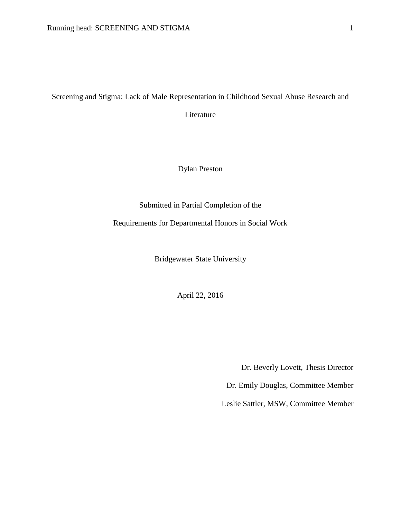### Screening and Stigma: Lack of Male Representation in Childhood Sexual Abuse Research and

Literature

Dylan Preston

Submitted in Partial Completion of the

Requirements for Departmental Honors in Social Work

Bridgewater State University

April 22, 2016

Dr. Beverly Lovett, Thesis Director

Dr. Emily Douglas, Committee Member

Leslie Sattler, MSW, Committee Member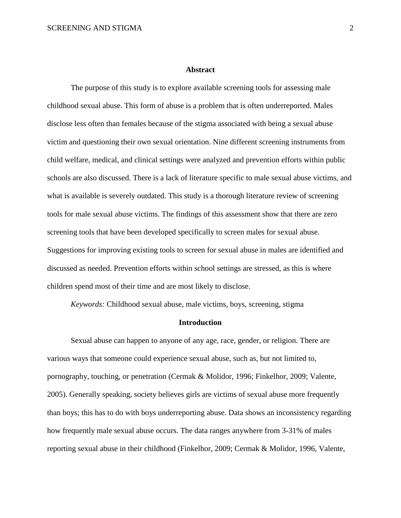#### **Abstract**

The purpose of this study is to explore available screening tools for assessing male childhood sexual abuse. This form of abuse is a problem that is often underreported. Males disclose less often than females because of the stigma associated with being a sexual abuse victim and questioning their own sexual orientation. Nine different screening instruments from child welfare, medical, and clinical settings were analyzed and prevention efforts within public schools are also discussed. There is a lack of literature specific to male sexual abuse victims, and what is available is severely outdated. This study is a thorough literature review of screening tools for male sexual abuse victims. The findings of this assessment show that there are zero screening tools that have been developed specifically to screen males for sexual abuse. Suggestions for improving existing tools to screen for sexual abuse in males are identified and discussed as needed. Prevention efforts within school settings are stressed, as this is where children spend most of their time and are most likely to disclose.

*Keywords:* Childhood sexual abuse, male victims, boys, screening, stigma

### **Introduction**

Sexual abuse can happen to anyone of any age, race, gender, or religion. There are various ways that someone could experience sexual abuse, such as, but not limited to, pornography, touching, or penetration (Cermak & Molidor, 1996; Finkelhor, 2009; Valente, 2005). Generally speaking, society believes girls are victims of sexual abuse more frequently than boys; this has to do with boys underreporting abuse. Data shows an inconsistency regarding how frequently male sexual abuse occurs. The data ranges anywhere from 3-31% of males reporting sexual abuse in their childhood (Finkelhor, 2009; Cermak & Molidor, 1996, Valente,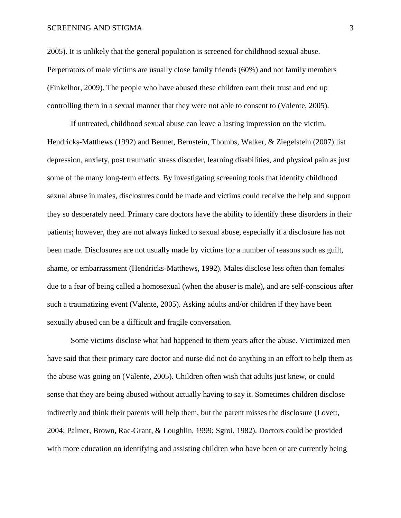### SCREENING AND STIGMA 3

2005). It is unlikely that the general population is screened for childhood sexual abuse. Perpetrators of male victims are usually close family friends (60%) and not family members (Finkelhor, 2009). The people who have abused these children earn their trust and end up controlling them in a sexual manner that they were not able to consent to (Valente, 2005).

If untreated, childhood sexual abuse can leave a lasting impression on the victim. Hendricks-Matthews (1992) and Bennet, Bernstein, Thombs, Walker, & Ziegelstein (2007) list depression, anxiety, post traumatic stress disorder, learning disabilities, and physical pain as just some of the many long-term effects. By investigating screening tools that identify childhood sexual abuse in males, disclosures could be made and victims could receive the help and support they so desperately need. Primary care doctors have the ability to identify these disorders in their patients; however, they are not always linked to sexual abuse, especially if a disclosure has not been made. Disclosures are not usually made by victims for a number of reasons such as guilt, shame, or embarrassment (Hendricks-Matthews, 1992). Males disclose less often than females due to a fear of being called a homosexual (when the abuser is male), and are self-conscious after such a traumatizing event (Valente, 2005). Asking adults and/or children if they have been sexually abused can be a difficult and fragile conversation.

Some victims disclose what had happened to them years after the abuse. Victimized men have said that their primary care doctor and nurse did not do anything in an effort to help them as the abuse was going on (Valente, 2005). Children often wish that adults just knew, or could sense that they are being abused without actually having to say it. Sometimes children disclose indirectly and think their parents will help them, but the parent misses the disclosure (Lovett, 2004; Palmer, Brown, Rae-Grant, & Loughlin, 1999; Sgroi, 1982). Doctors could be provided with more education on identifying and assisting children who have been or are currently being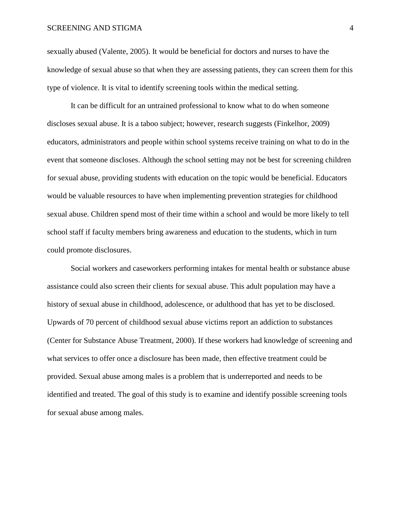sexually abused (Valente, 2005). It would be beneficial for doctors and nurses to have the knowledge of sexual abuse so that when they are assessing patients, they can screen them for this type of violence. It is vital to identify screening tools within the medical setting.

It can be difficult for an untrained professional to know what to do when someone discloses sexual abuse. It is a taboo subject; however, research suggests (Finkelhor, 2009) educators, administrators and people within school systems receive training on what to do in the event that someone discloses. Although the school setting may not be best for screening children for sexual abuse, providing students with education on the topic would be beneficial. Educators would be valuable resources to have when implementing prevention strategies for childhood sexual abuse. Children spend most of their time within a school and would be more likely to tell school staff if faculty members bring awareness and education to the students, which in turn could promote disclosures.

Social workers and caseworkers performing intakes for mental health or substance abuse assistance could also screen their clients for sexual abuse. This adult population may have a history of sexual abuse in childhood, adolescence, or adulthood that has yet to be disclosed. Upwards of 70 percent of childhood sexual abuse victims report an addiction to substances (Center for Substance Abuse Treatment, 2000). If these workers had knowledge of screening and what services to offer once a disclosure has been made, then effective treatment could be provided. Sexual abuse among males is a problem that is underreported and needs to be identified and treated. The goal of this study is to examine and identify possible screening tools for sexual abuse among males.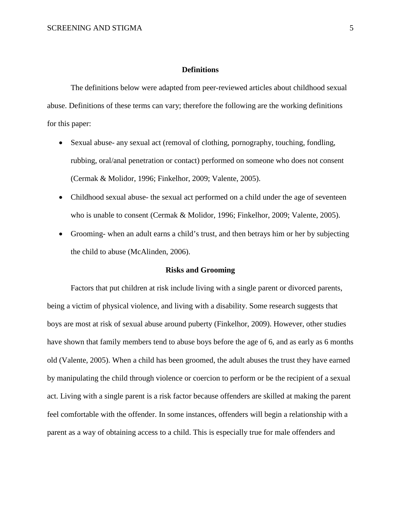### **Definitions**

The definitions below were adapted from peer-reviewed articles about childhood sexual abuse. Definitions of these terms can vary; therefore the following are the working definitions for this paper:

- Sexual abuse- any sexual act (removal of clothing, pornography, touching, fondling, rubbing, oral/anal penetration or contact) performed on someone who does not consent (Cermak & Molidor, 1996; Finkelhor, 2009; Valente, 2005).
- Childhood sexual abuse- the sexual act performed on a child under the age of seventeen who is unable to consent (Cermak & Molidor, 1996; Finkelhor, 2009; Valente, 2005).
- Grooming- when an adult earns a child's trust, and then betrays him or her by subjecting the child to abuse (McAlinden, 2006).

### **Risks and Grooming**

Factors that put children at risk include living with a single parent or divorced parents, being a victim of physical violence, and living with a disability. Some research suggests that boys are most at risk of sexual abuse around puberty (Finkelhor, 2009). However, other studies have shown that family members tend to abuse boys before the age of 6, and as early as 6 months old (Valente, 2005). When a child has been groomed, the adult abuses the trust they have earned by manipulating the child through violence or coercion to perform or be the recipient of a sexual act. Living with a single parent is a risk factor because offenders are skilled at making the parent feel comfortable with the offender. In some instances, offenders will begin a relationship with a parent as a way of obtaining access to a child. This is especially true for male offenders and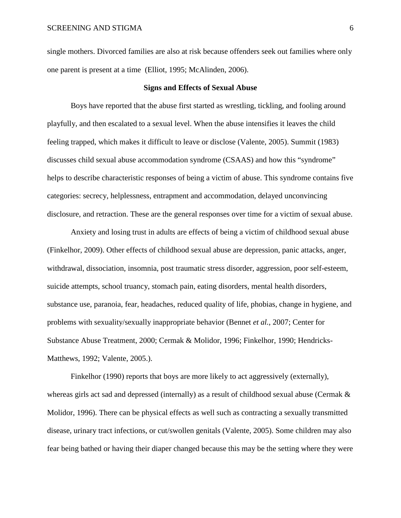single mothers. Divorced families are also at risk because offenders seek out families where only one parent is present at a time (Elliot, 1995; McAlinden, 2006).

### **Signs and Effects of Sexual Abuse**

Boys have reported that the abuse first started as wrestling, tickling, and fooling around playfully, and then escalated to a sexual level. When the abuse intensifies it leaves the child feeling trapped, which makes it difficult to leave or disclose (Valente, 2005). Summit (1983) discusses child sexual abuse accommodation syndrome (CSAAS) and how this "syndrome" helps to describe characteristic responses of being a victim of abuse. This syndrome contains five categories: secrecy, helplessness, entrapment and accommodation, delayed unconvincing disclosure, and retraction. These are the general responses over time for a victim of sexual abuse.

Anxiety and losing trust in adults are effects of being a victim of childhood sexual abuse (Finkelhor, 2009). Other effects of childhood sexual abuse are depression, panic attacks, anger, withdrawal, dissociation, insomnia, post traumatic stress disorder, aggression, poor self-esteem, suicide attempts, school truancy, stomach pain, eating disorders, mental health disorders, substance use, paranoia, fear, headaches, reduced quality of life, phobias, change in hygiene, and problems with sexuality/sexually inappropriate behavior (Bennet *et al.*, 2007; Center for Substance Abuse Treatment, 2000; Cermak & Molidor, 1996; Finkelhor, 1990; Hendricks-Matthews, 1992; Valente, 2005.).

Finkelhor (1990) reports that boys are more likely to act aggressively (externally), whereas girls act sad and depressed (internally) as a result of childhood sexual abuse (Cermak & Molidor, 1996). There can be physical effects as well such as contracting a sexually transmitted disease, urinary tract infections, or cut/swollen genitals (Valente, 2005). Some children may also fear being bathed or having their diaper changed because this may be the setting where they were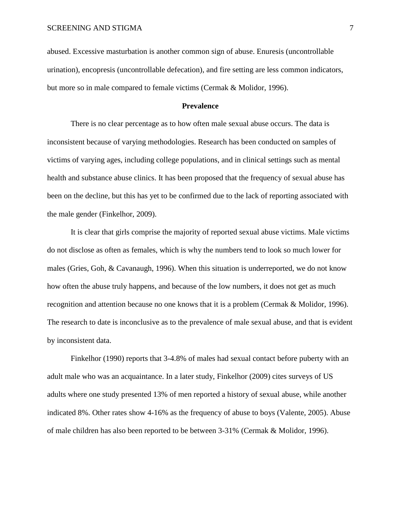abused. Excessive masturbation is another common sign of abuse. Enuresis (uncontrollable urination), encopresis (uncontrollable defecation), and fire setting are less common indicators, but more so in male compared to female victims (Cermak & Molidor, 1996).

### **Prevalence**

There is no clear percentage as to how often male sexual abuse occurs. The data is inconsistent because of varying methodologies. Research has been conducted on samples of victims of varying ages, including college populations, and in clinical settings such as mental health and substance abuse clinics. It has been proposed that the frequency of sexual abuse has been on the decline, but this has yet to be confirmed due to the lack of reporting associated with the male gender (Finkelhor, 2009).

It is clear that girls comprise the majority of reported sexual abuse victims. Male victims do not disclose as often as females, which is why the numbers tend to look so much lower for males (Gries, Goh, & Cavanaugh, 1996). When this situation is underreported, we do not know how often the abuse truly happens, and because of the low numbers, it does not get as much recognition and attention because no one knows that it is a problem (Cermak & Molidor, 1996). The research to date is inconclusive as to the prevalence of male sexual abuse, and that is evident by inconsistent data.

Finkelhor (1990) reports that 3-4.8% of males had sexual contact before puberty with an adult male who was an acquaintance. In a later study, Finkelhor (2009) cites surveys of US adults where one study presented 13% of men reported a history of sexual abuse, while another indicated 8%. Other rates show 4-16% as the frequency of abuse to boys (Valente, 2005). Abuse of male children has also been reported to be between 3-31% (Cermak & Molidor, 1996).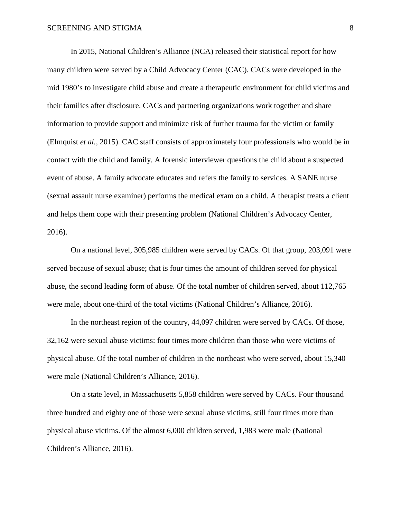In 2015, National Children's Alliance (NCA) released their statistical report for how many children were served by a Child Advocacy Center (CAC). CACs were developed in the mid 1980's to investigate child abuse and create a therapeutic environment for child victims and their families after disclosure. CACs and partnering organizations work together and share information to provide support and minimize risk of further trauma for the victim or family (Elmquist *et al.,* 2015). CAC staff consists of approximately four professionals who would be in contact with the child and family. A forensic interviewer questions the child about a suspected event of abuse. A family advocate educates and refers the family to services. A SANE nurse (sexual assault nurse examiner) performs the medical exam on a child. A therapist treats a client and helps them cope with their presenting problem (National Children's Advocacy Center, 2016).

On a national level, 305,985 children were served by CACs. Of that group, 203,091 were served because of sexual abuse; that is four times the amount of children served for physical abuse, the second leading form of abuse. Of the total number of children served, about 112,765 were male, about one-third of the total victims (National Children's Alliance, 2016).

In the northeast region of the country, 44,097 children were served by CACs. Of those, 32,162 were sexual abuse victims: four times more children than those who were victims of physical abuse. Of the total number of children in the northeast who were served, about 15,340 were male (National Children's Alliance, 2016).

On a state level, in Massachusetts 5,858 children were served by CACs. Four thousand three hundred and eighty one of those were sexual abuse victims, still four times more than physical abuse victims. Of the almost 6,000 children served, 1,983 were male (National Children's Alliance, 2016).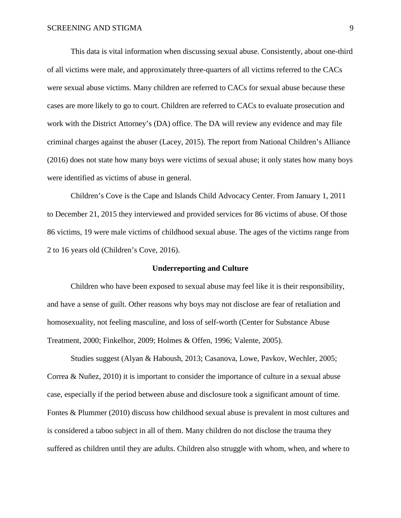This data is vital information when discussing sexual abuse. Consistently, about one-third of all victims were male, and approximately three-quarters of all victims referred to the CACs were sexual abuse victims. Many children are referred to CACs for sexual abuse because these cases are more likely to go to court. Children are referred to CACs to evaluate prosecution and work with the District Attorney's (DA) office. The DA will review any evidence and may file criminal charges against the abuser (Lacey, 2015). The report from National Children's Alliance (2016) does not state how many boys were victims of sexual abuse; it only states how many boys were identified as victims of abuse in general.

Children's Cove is the Cape and Islands Child Advocacy Center. From January 1, 2011 to December 21, 2015 they interviewed and provided services for 86 victims of abuse. Of those 86 victims, 19 were male victims of childhood sexual abuse. The ages of the victims range from 2 to 16 years old (Children's Cove, 2016).

### **Underreporting and Culture**

Children who have been exposed to sexual abuse may feel like it is their responsibility, and have a sense of guilt. Other reasons why boys may not disclose are fear of retaliation and homosexuality, not feeling masculine, and loss of self-worth (Center for Substance Abuse Treatment, 2000; Finkelhor, 2009; Holmes & Offen, 1996; Valente, 2005).

Studies suggest (Alyan & Haboush, 2013; Casanova, Lowe, Pavkov, Wechler, 2005; Correa & Nuñez, 2010) it is important to consider the importance of culture in a sexual abuse case, especially if the period between abuse and disclosure took a significant amount of time. Fontes & Plummer (2010) discuss how childhood sexual abuse is prevalent in most cultures and is considered a taboo subject in all of them. Many children do not disclose the trauma they suffered as children until they are adults. Children also struggle with whom, when, and where to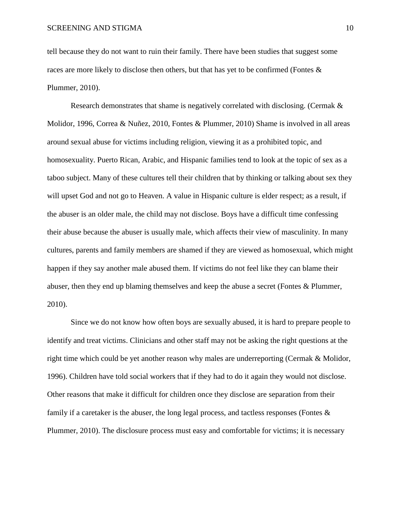tell because they do not want to ruin their family. There have been studies that suggest some races are more likely to disclose then others, but that has yet to be confirmed (Fontes & Plummer, 2010).

Research demonstrates that shame is negatively correlated with disclosing. (Cermak & Molidor, 1996, Correa & Nuñez, 2010, Fontes & Plummer, 2010) Shame is involved in all areas around sexual abuse for victims including religion, viewing it as a prohibited topic, and homosexuality. Puerto Rican, Arabic, and Hispanic families tend to look at the topic of sex as a taboo subject. Many of these cultures tell their children that by thinking or talking about sex they will upset God and not go to Heaven. A value in Hispanic culture is elder respect; as a result, if the abuser is an older male, the child may not disclose. Boys have a difficult time confessing their abuse because the abuser is usually male, which affects their view of masculinity. In many cultures, parents and family members are shamed if they are viewed as homosexual, which might happen if they say another male abused them. If victims do not feel like they can blame their abuser, then they end up blaming themselves and keep the abuse a secret (Fontes & Plummer, 2010).

Since we do not know how often boys are sexually abused, it is hard to prepare people to identify and treat victims. Clinicians and other staff may not be asking the right questions at the right time which could be yet another reason why males are underreporting (Cermak & Molidor, 1996). Children have told social workers that if they had to do it again they would not disclose. Other reasons that make it difficult for children once they disclose are separation from their family if a caretaker is the abuser, the long legal process, and tactless responses (Fontes  $\&$ Plummer, 2010). The disclosure process must easy and comfortable for victims; it is necessary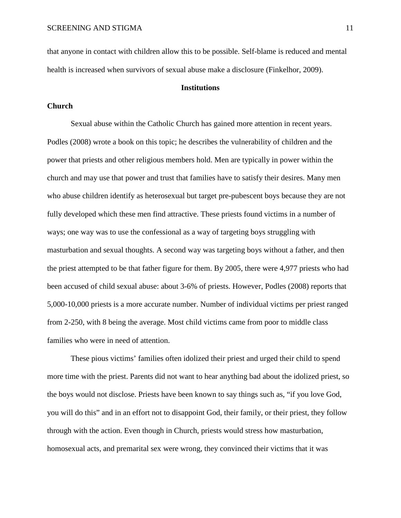that anyone in contact with children allow this to be possible. Self-blame is reduced and mental health is increased when survivors of sexual abuse make a disclosure (Finkelhor, 2009).

### **Institutions**

### **Church**

Sexual abuse within the Catholic Church has gained more attention in recent years. Podles (2008) wrote a book on this topic; he describes the vulnerability of children and the power that priests and other religious members hold. Men are typically in power within the church and may use that power and trust that families have to satisfy their desires. Many men who abuse children identify as heterosexual but target pre-pubescent boys because they are not fully developed which these men find attractive. These priests found victims in a number of ways; one way was to use the confessional as a way of targeting boys struggling with masturbation and sexual thoughts. A second way was targeting boys without a father, and then the priest attempted to be that father figure for them. By 2005, there were 4,977 priests who had been accused of child sexual abuse: about 3-6% of priests. However, Podles (2008) reports that 5,000-10,000 priests is a more accurate number. Number of individual victims per priest ranged from 2-250, with 8 being the average. Most child victims came from poor to middle class families who were in need of attention.

These pious victims' families often idolized their priest and urged their child to spend more time with the priest. Parents did not want to hear anything bad about the idolized priest, so the boys would not disclose. Priests have been known to say things such as, "if you love God, you will do this" and in an effort not to disappoint God, their family, or their priest, they follow through with the action. Even though in Church, priests would stress how masturbation, homosexual acts, and premarital sex were wrong, they convinced their victims that it was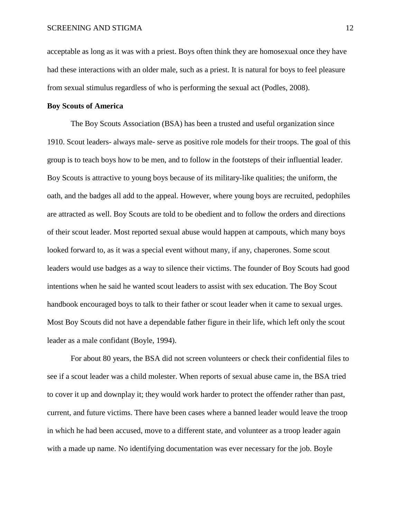acceptable as long as it was with a priest. Boys often think they are homosexual once they have had these interactions with an older male, such as a priest. It is natural for boys to feel pleasure from sexual stimulus regardless of who is performing the sexual act (Podles, 2008).

### **Boy Scouts of America**

The Boy Scouts Association (BSA) has been a trusted and useful organization since 1910. Scout leaders- always male- serve as positive role models for their troops. The goal of this group is to teach boys how to be men, and to follow in the footsteps of their influential leader. Boy Scouts is attractive to young boys because of its military-like qualities; the uniform, the oath, and the badges all add to the appeal. However, where young boys are recruited, pedophiles are attracted as well. Boy Scouts are told to be obedient and to follow the orders and directions of their scout leader. Most reported sexual abuse would happen at campouts, which many boys looked forward to, as it was a special event without many, if any, chaperones. Some scout leaders would use badges as a way to silence their victims. The founder of Boy Scouts had good intentions when he said he wanted scout leaders to assist with sex education. The Boy Scout handbook encouraged boys to talk to their father or scout leader when it came to sexual urges. Most Boy Scouts did not have a dependable father figure in their life, which left only the scout leader as a male confidant (Boyle, 1994).

For about 80 years, the BSA did not screen volunteers or check their confidential files to see if a scout leader was a child molester. When reports of sexual abuse came in, the BSA tried to cover it up and downplay it; they would work harder to protect the offender rather than past, current, and future victims. There have been cases where a banned leader would leave the troop in which he had been accused, move to a different state, and volunteer as a troop leader again with a made up name. No identifying documentation was ever necessary for the job. Boyle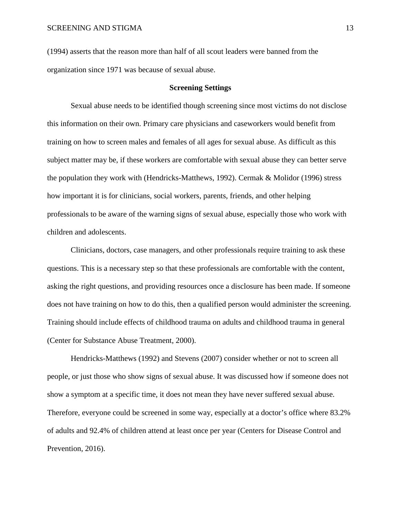(1994) asserts that the reason more than half of all scout leaders were banned from the organization since 1971 was because of sexual abuse.

### **Screening Settings**

Sexual abuse needs to be identified though screening since most victims do not disclose this information on their own. Primary care physicians and caseworkers would benefit from training on how to screen males and females of all ages for sexual abuse. As difficult as this subject matter may be, if these workers are comfortable with sexual abuse they can better serve the population they work with (Hendricks-Matthews, 1992). Cermak & Molidor (1996) stress how important it is for clinicians, social workers, parents, friends, and other helping professionals to be aware of the warning signs of sexual abuse, especially those who work with children and adolescents.

Clinicians, doctors, case managers, and other professionals require training to ask these questions. This is a necessary step so that these professionals are comfortable with the content, asking the right questions, and providing resources once a disclosure has been made. If someone does not have training on how to do this, then a qualified person would administer the screening. Training should include effects of childhood trauma on adults and childhood trauma in general (Center for Substance Abuse Treatment, 2000).

Hendricks-Matthews (1992) and Stevens (2007) consider whether or not to screen all people, or just those who show signs of sexual abuse. It was discussed how if someone does not show a symptom at a specific time, it does not mean they have never suffered sexual abuse. Therefore, everyone could be screened in some way, especially at a doctor's office where 83.2% of adults and 92.4% of children attend at least once per year (Centers for Disease Control and Prevention, 2016).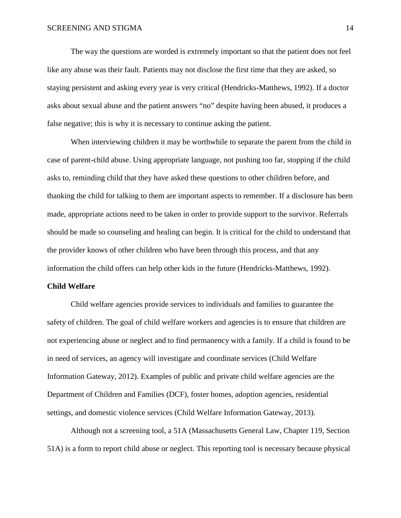The way the questions are worded is extremely important so that the patient does not feel like any abuse was their fault. Patients may not disclose the first time that they are asked, so staying persistent and asking every year is very critical (Hendricks-Matthews, 1992). If a doctor asks about sexual abuse and the patient answers "no" despite having been abused, it produces a false negative; this is why it is necessary to continue asking the patient.

When interviewing children it may be worthwhile to separate the parent from the child in case of parent-child abuse. Using appropriate language, not pushing too far, stopping if the child asks to, reminding child that they have asked these questions to other children before, and thanking the child for talking to them are important aspects to remember. If a disclosure has been made, appropriate actions need to be taken in order to provide support to the survivor. Referrals should be made so counseling and healing can begin. It is critical for the child to understand that the provider knows of other children who have been through this process, and that any information the child offers can help other kids in the future (Hendricks-Matthews, 1992).

### **Child Welfare**

Child welfare agencies provide services to individuals and families to guarantee the safety of children. The goal of child welfare workers and agencies is to ensure that children are not experiencing abuse or neglect and to find permanency with a family. If a child is found to be in need of services, an agency will investigate and coordinate services (Child Welfare Information Gateway, 2012). Examples of public and private child welfare agencies are the Department of Children and Families (DCF), foster homes, adoption agencies, residential settings, and domestic violence services (Child Welfare Information Gateway, 2013).

Although not a screening tool, a 51A (Massachusetts General Law, Chapter 119, Section 51A) is a form to report child abuse or neglect. This reporting tool is necessary because physical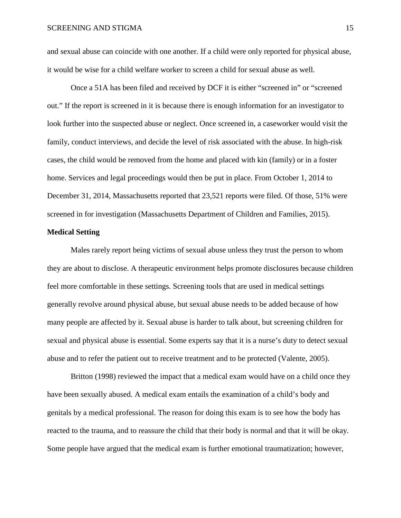and sexual abuse can coincide with one another. If a child were only reported for physical abuse, it would be wise for a child welfare worker to screen a child for sexual abuse as well.

Once a 51A has been filed and received by DCF it is either "screened in" or "screened out." If the report is screened in it is because there is enough information for an investigator to look further into the suspected abuse or neglect. Once screened in, a caseworker would visit the family, conduct interviews, and decide the level of risk associated with the abuse. In high-risk cases, the child would be removed from the home and placed with kin (family) or in a foster home. Services and legal proceedings would then be put in place. From October 1, 2014 to December 31, 2014, Massachusetts reported that 23,521 reports were filed. Of those, 51% were screened in for investigation (Massachusetts Department of Children and Families, 2015).

### **Medical Setting**

Males rarely report being victims of sexual abuse unless they trust the person to whom they are about to disclose. A therapeutic environment helps promote disclosures because children feel more comfortable in these settings. Screening tools that are used in medical settings generally revolve around physical abuse, but sexual abuse needs to be added because of how many people are affected by it. Sexual abuse is harder to talk about, but screening children for sexual and physical abuse is essential. Some experts say that it is a nurse's duty to detect sexual abuse and to refer the patient out to receive treatment and to be protected (Valente, 2005).

Britton (1998) reviewed the impact that a medical exam would have on a child once they have been sexually abused. A medical exam entails the examination of a child's body and genitals by a medical professional. The reason for doing this exam is to see how the body has reacted to the trauma, and to reassure the child that their body is normal and that it will be okay. Some people have argued that the medical exam is further emotional traumatization; however,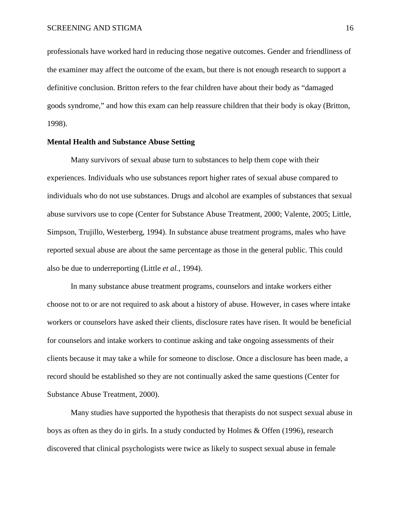professionals have worked hard in reducing those negative outcomes. Gender and friendliness of the examiner may affect the outcome of the exam, but there is not enough research to support a definitive conclusion. Britton refers to the fear children have about their body as "damaged goods syndrome," and how this exam can help reassure children that their body is okay (Britton, 1998).

### **Mental Health and Substance Abuse Setting**

Many survivors of sexual abuse turn to substances to help them cope with their experiences. Individuals who use substances report higher rates of sexual abuse compared to individuals who do not use substances. Drugs and alcohol are examples of substances that sexual abuse survivors use to cope (Center for Substance Abuse Treatment, 2000; Valente, 2005; Little, Simpson, Trujillo, Westerberg, 1994). In substance abuse treatment programs, males who have reported sexual abuse are about the same percentage as those in the general public. This could also be due to underreporting (Little *et al.,* 1994).

In many substance abuse treatment programs, counselors and intake workers either choose not to or are not required to ask about a history of abuse. However, in cases where intake workers or counselors have asked their clients, disclosure rates have risen. It would be beneficial for counselors and intake workers to continue asking and take ongoing assessments of their clients because it may take a while for someone to disclose. Once a disclosure has been made, a record should be established so they are not continually asked the same questions (Center for Substance Abuse Treatment, 2000).

Many studies have supported the hypothesis that therapists do not suspect sexual abuse in boys as often as they do in girls. In a study conducted by Holmes & Offen (1996), research discovered that clinical psychologists were twice as likely to suspect sexual abuse in female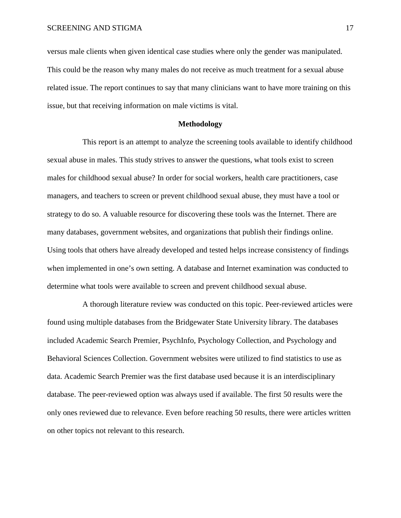versus male clients when given identical case studies where only the gender was manipulated. This could be the reason why many males do not receive as much treatment for a sexual abuse related issue. The report continues to say that many clinicians want to have more training on this issue, but that receiving information on male victims is vital.

### **Methodology**

This report is an attempt to analyze the screening tools available to identify childhood sexual abuse in males. This study strives to answer the questions, what tools exist to screen males for childhood sexual abuse? In order for social workers, health care practitioners, case managers, and teachers to screen or prevent childhood sexual abuse, they must have a tool or strategy to do so. A valuable resource for discovering these tools was the Internet. There are many databases, government websites, and organizations that publish their findings online. Using tools that others have already developed and tested helps increase consistency of findings when implemented in one's own setting. A database and Internet examination was conducted to determine what tools were available to screen and prevent childhood sexual abuse.

A thorough literature review was conducted on this topic. Peer-reviewed articles were found using multiple databases from the Bridgewater State University library. The databases included Academic Search Premier, PsychInfo, Psychology Collection, and Psychology and Behavioral Sciences Collection. Government websites were utilized to find statistics to use as data. Academic Search Premier was the first database used because it is an interdisciplinary database. The peer-reviewed option was always used if available. The first 50 results were the only ones reviewed due to relevance. Even before reaching 50 results, there were articles written on other topics not relevant to this research.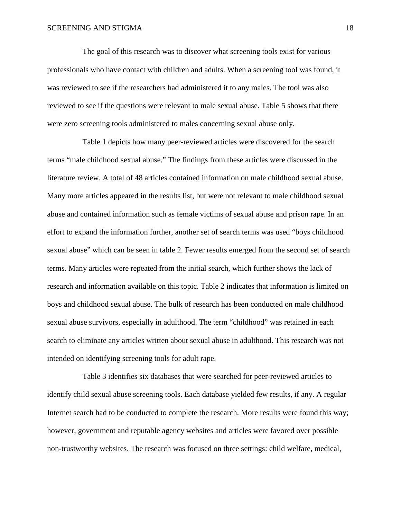The goal of this research was to discover what screening tools exist for various professionals who have contact with children and adults. When a screening tool was found, it was reviewed to see if the researchers had administered it to any males. The tool was also reviewed to see if the questions were relevant to male sexual abuse. Table 5 shows that there were zero screening tools administered to males concerning sexual abuse only.

Table 1 depicts how many peer-reviewed articles were discovered for the search terms "male childhood sexual abuse." The findings from these articles were discussed in the literature review. A total of 48 articles contained information on male childhood sexual abuse. Many more articles appeared in the results list, but were not relevant to male childhood sexual abuse and contained information such as female victims of sexual abuse and prison rape. In an effort to expand the information further, another set of search terms was used "boys childhood sexual abuse" which can be seen in table 2. Fewer results emerged from the second set of search terms. Many articles were repeated from the initial search, which further shows the lack of research and information available on this topic. Table 2 indicates that information is limited on boys and childhood sexual abuse. The bulk of research has been conducted on male childhood sexual abuse survivors, especially in adulthood. The term "childhood" was retained in each search to eliminate any articles written about sexual abuse in adulthood. This research was not intended on identifying screening tools for adult rape.

Table 3 identifies six databases that were searched for peer-reviewed articles to identify child sexual abuse screening tools. Each database yielded few results, if any. A regular Internet search had to be conducted to complete the research. More results were found this way; however, government and reputable agency websites and articles were favored over possible non-trustworthy websites. The research was focused on three settings: child welfare, medical,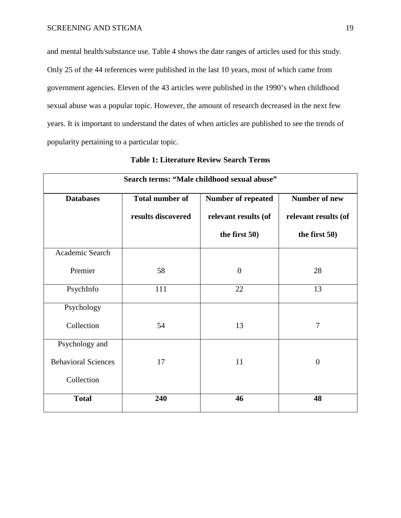and mental health/substance use. Table 4 shows the date ranges of articles used for this study. Only 25 of the 44 references were published in the last 10 years, most of which came from government agencies. Eleven of the 43 articles were published in the 1990's when childhood sexual abuse was a popular topic. However, the amount of research decreased in the next few years. It is important to understand the dates of when articles are published to see the trends of popularity pertaining to a particular topic.

| Search terms: "Male childhood sexual abuse" |                        |                           |                      |  |  |
|---------------------------------------------|------------------------|---------------------------|----------------------|--|--|
| <b>Databases</b>                            | <b>Total number of</b> | <b>Number of repeated</b> | Number of new        |  |  |
|                                             | results discovered     | relevant results (of      | relevant results (of |  |  |
|                                             |                        | the first $50$ )          | the first 50)        |  |  |
| Academic Search                             |                        |                           |                      |  |  |
| Premier                                     | 58                     | $\overline{0}$            | 28                   |  |  |
| PsychInfo                                   | 111                    | 22                        | 13                   |  |  |
| Psychology                                  |                        |                           |                      |  |  |
| Collection                                  | 54                     | 13                        | $\overline{7}$       |  |  |
| Psychology and                              |                        |                           |                      |  |  |
| <b>Behavioral Sciences</b>                  | 17                     | 11                        | $\theta$             |  |  |
| Collection                                  |                        |                           |                      |  |  |
| <b>Total</b>                                | 240                    | 46                        | 48                   |  |  |

| <b>Table 1: Literature Review Search Terms</b> |  |  |  |
|------------------------------------------------|--|--|--|
|------------------------------------------------|--|--|--|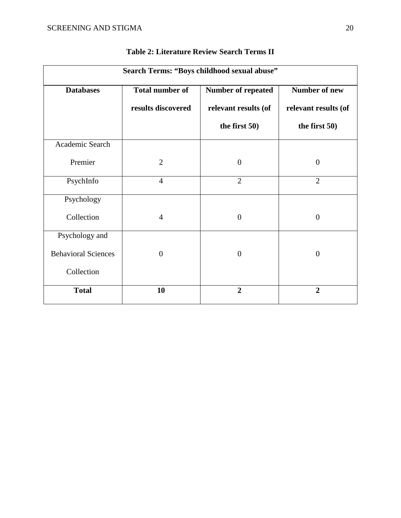| Search Terms: "Boys childhood sexual abuse" |                        |                      |                      |  |
|---------------------------------------------|------------------------|----------------------|----------------------|--|
| <b>Databases</b>                            | <b>Total number of</b> | Number of repeated   | <b>Number of new</b> |  |
|                                             | results discovered     | relevant results (of | relevant results (of |  |
|                                             |                        | the first $50$ )     | the first $50$ )     |  |
| Academic Search                             |                        |                      |                      |  |
| Premier                                     | $\overline{2}$         | $\mathbf{0}$         | $\overline{0}$       |  |
| PsychInfo                                   | $\overline{4}$         | $\overline{2}$       | $\overline{2}$       |  |
| Psychology                                  |                        |                      |                      |  |
| Collection                                  | $\overline{4}$         | $\mathbf{0}$         | $\overline{0}$       |  |
| Psychology and                              |                        |                      |                      |  |
| <b>Behavioral Sciences</b>                  | $\overline{0}$         | $\overline{0}$       | $\overline{0}$       |  |
| Collection                                  |                        |                      |                      |  |
| <b>Total</b>                                | 10                     | $\overline{2}$       | $\overline{2}$       |  |

**Table 2: Literature Review Search Terms II**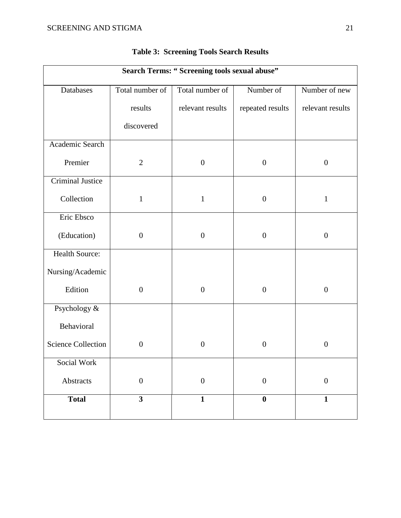| Search Terms: "Screening tools sexual abuse" |                         |                  |                  |                  |
|----------------------------------------------|-------------------------|------------------|------------------|------------------|
| Databases                                    | Total number of         | Total number of  | Number of        | Number of new    |
|                                              | results                 | relevant results | repeated results | relevant results |
|                                              | discovered              |                  |                  |                  |
| Academic Search                              |                         |                  |                  |                  |
| Premier                                      | $\overline{2}$          | $\boldsymbol{0}$ | $\boldsymbol{0}$ | $\boldsymbol{0}$ |
| <b>Criminal Justice</b>                      |                         |                  |                  |                  |
| Collection                                   | $\mathbf{1}$            | $\mathbf{1}$     | $\boldsymbol{0}$ | $\mathbf{1}$     |
| Eric Ebsco                                   |                         |                  |                  |                  |
| (Education)                                  | $\boldsymbol{0}$        | $\boldsymbol{0}$ | $\boldsymbol{0}$ | $\boldsymbol{0}$ |
| Health Source:                               |                         |                  |                  |                  |
| Nursing/Academic                             |                         |                  |                  |                  |
| Edition                                      | $\boldsymbol{0}$        | $\boldsymbol{0}$ | $\boldsymbol{0}$ | $\boldsymbol{0}$ |
| Psychology &                                 |                         |                  |                  |                  |
| Behavioral                                   |                         |                  |                  |                  |
| <b>Science Collection</b>                    | $\boldsymbol{0}$        | $\boldsymbol{0}$ | $\boldsymbol{0}$ | $\boldsymbol{0}$ |
| Social Work                                  |                         |                  |                  |                  |
| Abstracts                                    | $\boldsymbol{0}$        | $\boldsymbol{0}$ | $\boldsymbol{0}$ | $\boldsymbol{0}$ |
| <b>Total</b>                                 | $\overline{\mathbf{3}}$ | $\mathbf{1}$     | $\bf{0}$         | $\mathbf{1}$     |

### **Table 3: Screening Tools Search Results**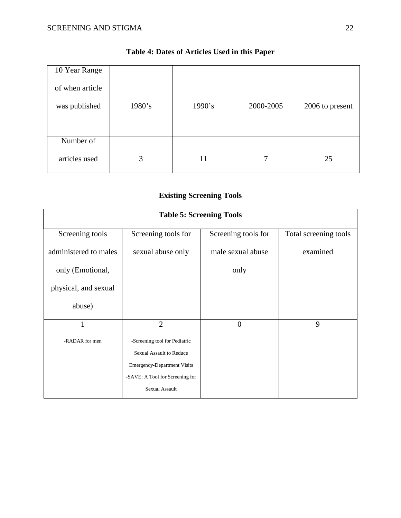| 10 Year Range   |        |        |           |                 |
|-----------------|--------|--------|-----------|-----------------|
| of when article |        |        |           |                 |
| was published   | 1980's | 1990's | 2000-2005 | 2006 to present |
|                 |        |        |           |                 |
|                 |        |        |           |                 |
| Number of       |        |        |           |                 |
| articles used   | 3      | 11     | 7         | 25              |

### **Table 4: Dates of Articles Used in this Paper**

### **Existing Screening Tools**

| <b>Table 5: Screening Tools</b> |                                    |                     |                       |  |
|---------------------------------|------------------------------------|---------------------|-----------------------|--|
| Screening tools                 | Screening tools for                | Screening tools for | Total screening tools |  |
| administered to males           | sexual abuse only                  | male sexual abuse   | examined              |  |
| only (Emotional,                |                                    | only                |                       |  |
| physical, and sexual            |                                    |                     |                       |  |
| abuse)                          |                                    |                     |                       |  |
| 1                               | $\overline{2}$                     | $\overline{0}$      | 9                     |  |
| -RADAR for men                  | -Screening tool for Pediatric      |                     |                       |  |
|                                 | Sexual Assault to Reduce           |                     |                       |  |
|                                 | <b>Emergency-Department Visits</b> |                     |                       |  |
|                                 | -SAVE: A Tool for Screening for    |                     |                       |  |
|                                 | Sexual Assault                     |                     |                       |  |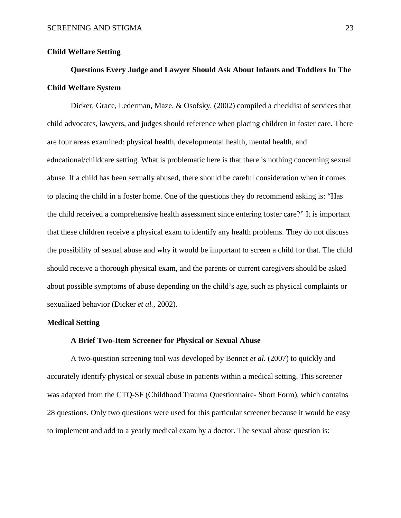### **Child Welfare Setting**

# **Questions Every Judge and Lawyer Should Ask About Infants and Toddlers In The Child Welfare System**

Dicker, Grace, Lederman, Maze, & Osofsky, (2002) compiled a checklist of services that child advocates, lawyers, and judges should reference when placing children in foster care. There are four areas examined: physical health, developmental health, mental health, and educational/childcare setting. What is problematic here is that there is nothing concerning sexual abuse. If a child has been sexually abused, there should be careful consideration when it comes to placing the child in a foster home. One of the questions they do recommend asking is: "Has the child received a comprehensive health assessment since entering foster care?" It is important that these children receive a physical exam to identify any health problems. They do not discuss the possibility of sexual abuse and why it would be important to screen a child for that. The child should receive a thorough physical exam, and the parents or current caregivers should be asked about possible symptoms of abuse depending on the child's age, such as physical complaints or sexualized behavior (Dicker *et al.,* 2002).

### **Medical Setting**

### **A Brief Two-Item Screener for Physical or Sexual Abuse**

A two-question screening tool was developed by Bennet *et al.* (2007) to quickly and accurately identify physical or sexual abuse in patients within a medical setting. This screener was adapted from the CTQ-SF (Childhood Trauma Questionnaire- Short Form), which contains 28 questions. Only two questions were used for this particular screener because it would be easy to implement and add to a yearly medical exam by a doctor. The sexual abuse question is: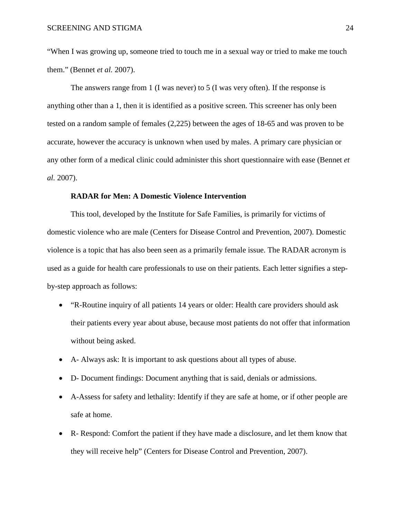"When I was growing up, someone tried to touch me in a sexual way or tried to make me touch them." (Bennet *et al.* 2007).

The answers range from 1 (I was never) to 5 (I was very often). If the response is anything other than a 1, then it is identified as a positive screen. This screener has only been tested on a random sample of females (2,225) between the ages of 18-65 and was proven to be accurate, however the accuracy is unknown when used by males. A primary care physician or any other form of a medical clinic could administer this short questionnaire with ease (Bennet *et al.* 2007).

### **RADAR for Men: A Domestic Violence Intervention**

This tool, developed by the Institute for Safe Families, is primarily for victims of domestic violence who are male (Centers for Disease Control and Prevention, 2007). Domestic violence is a topic that has also been seen as a primarily female issue. The RADAR acronym is used as a guide for health care professionals to use on their patients. Each letter signifies a stepby-step approach as follows:

- "R-Routine inquiry of all patients 14 years or older: Health care providers should ask their patients every year about abuse, because most patients do not offer that information without being asked.
- A- Always ask: It is important to ask questions about all types of abuse.
- D- Document findings: Document anything that is said, denials or admissions.
- A-Assess for safety and lethality: Identify if they are safe at home, or if other people are safe at home.
- R- Respond: Comfort the patient if they have made a disclosure, and let them know that they will receive help" (Centers for Disease Control and Prevention, 2007).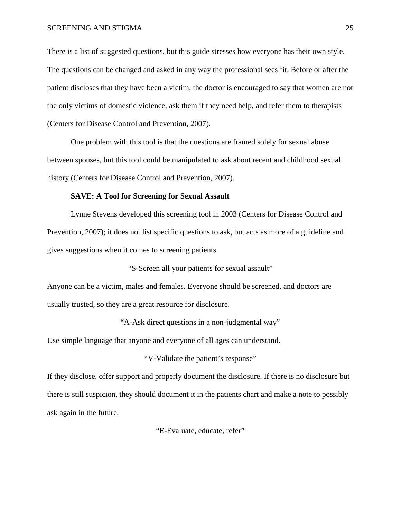There is a list of suggested questions, but this guide stresses how everyone has their own style. The questions can be changed and asked in any way the professional sees fit. Before or after the patient discloses that they have been a victim, the doctor is encouraged to say that women are not the only victims of domestic violence, ask them if they need help, and refer them to therapists (Centers for Disease Control and Prevention, 2007).

One problem with this tool is that the questions are framed solely for sexual abuse between spouses, but this tool could be manipulated to ask about recent and childhood sexual history (Centers for Disease Control and Prevention, 2007).

### **SAVE: A Tool for Screening for Sexual Assault**

Lynne Stevens developed this screening tool in 2003 (Centers for Disease Control and Prevention, 2007); it does not list specific questions to ask, but acts as more of a guideline and gives suggestions when it comes to screening patients.

"S-Screen all your patients for sexual assault"

Anyone can be a victim, males and females. Everyone should be screened, and doctors are usually trusted, so they are a great resource for disclosure.

"A-Ask direct questions in a non-judgmental way"

Use simple language that anyone and everyone of all ages can understand.

"V-Validate the patient's response"

If they disclose, offer support and properly document the disclosure. If there is no disclosure but there is still suspicion, they should document it in the patients chart and make a note to possibly ask again in the future.

"E-Evaluate, educate, refer"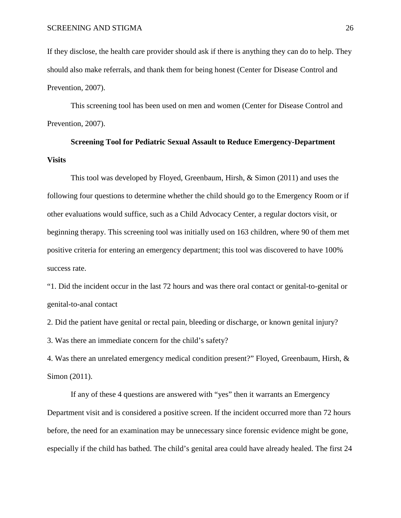If they disclose, the health care provider should ask if there is anything they can do to help. They should also make referrals, and thank them for being honest (Center for Disease Control and Prevention, 2007).

This screening tool has been used on men and women (Center for Disease Control and Prevention, 2007).

## **Screening Tool for Pediatric Sexual Assault to Reduce Emergency-Department Visits**

This tool was developed by Floyed, Greenbaum, Hirsh, & Simon (2011) and uses the following four questions to determine whether the child should go to the Emergency Room or if other evaluations would suffice, such as a Child Advocacy Center, a regular doctors visit, or beginning therapy. This screening tool was initially used on 163 children, where 90 of them met positive criteria for entering an emergency department; this tool was discovered to have 100% success rate.

"1. Did the incident occur in the last 72 hours and was there oral contact or genital-to-genital or genital-to-anal contact

2. Did the patient have genital or rectal pain, bleeding or discharge, or known genital injury?

3. Was there an immediate concern for the child's safety?

4. Was there an unrelated emergency medical condition present?" Floyed, Greenbaum, Hirsh, & Simon (2011).

If any of these 4 questions are answered with "yes" then it warrants an Emergency Department visit and is considered a positive screen. If the incident occurred more than 72 hours before, the need for an examination may be unnecessary since forensic evidence might be gone, especially if the child has bathed. The child's genital area could have already healed. The first 24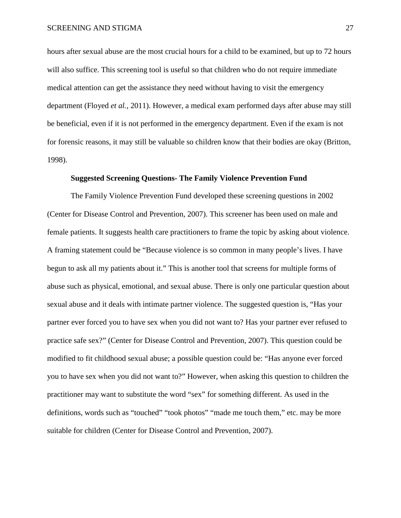hours after sexual abuse are the most crucial hours for a child to be examined, but up to 72 hours will also suffice. This screening tool is useful so that children who do not require immediate medical attention can get the assistance they need without having to visit the emergency department (Floyed *et al.,* 2011). However, a medical exam performed days after abuse may still be beneficial, even if it is not performed in the emergency department. Even if the exam is not for forensic reasons, it may still be valuable so children know that their bodies are okay (Britton, 1998).

### **Suggested Screening Questions- The Family Violence Prevention Fund**

The Family Violence Prevention Fund developed these screening questions in 2002 (Center for Disease Control and Prevention, 2007). This screener has been used on male and female patients. It suggests health care practitioners to frame the topic by asking about violence. A framing statement could be "Because violence is so common in many people's lives. I have begun to ask all my patients about it." This is another tool that screens for multiple forms of abuse such as physical, emotional, and sexual abuse. There is only one particular question about sexual abuse and it deals with intimate partner violence. The suggested question is, "Has your partner ever forced you to have sex when you did not want to? Has your partner ever refused to practice safe sex?" (Center for Disease Control and Prevention, 2007). This question could be modified to fit childhood sexual abuse; a possible question could be: "Has anyone ever forced you to have sex when you did not want to?" However, when asking this question to children the practitioner may want to substitute the word "sex" for something different. As used in the definitions, words such as "touched" "took photos" "made me touch them," etc. may be more suitable for children (Center for Disease Control and Prevention, 2007).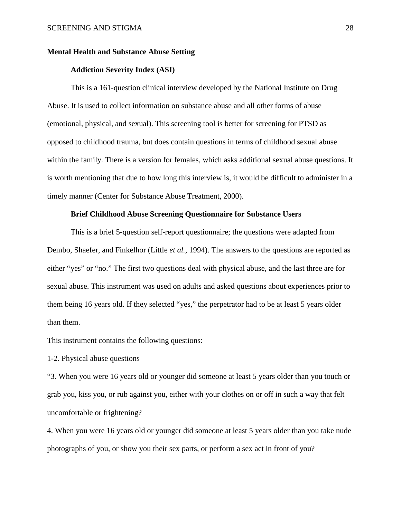### **Mental Health and Substance Abuse Setting**

### **Addiction Severity Index (ASI)**

This is a 161-question clinical interview developed by the National Institute on Drug Abuse. It is used to collect information on substance abuse and all other forms of abuse (emotional, physical, and sexual). This screening tool is better for screening for PTSD as opposed to childhood trauma, but does contain questions in terms of childhood sexual abuse within the family. There is a version for females, which asks additional sexual abuse questions. It is worth mentioning that due to how long this interview is, it would be difficult to administer in a timely manner (Center for Substance Abuse Treatment, 2000).

### **Brief Childhood Abuse Screening Questionnaire for Substance Users**

This is a brief 5-question self-report questionnaire; the questions were adapted from Dembo, Shaefer, and Finkelhor (Little *et al.,* 1994). The answers to the questions are reported as either "yes" or "no." The first two questions deal with physical abuse, and the last three are for sexual abuse. This instrument was used on adults and asked questions about experiences prior to them being 16 years old. If they selected "yes," the perpetrator had to be at least 5 years older than them.

This instrument contains the following questions:

1-2. Physical abuse questions

"3. When you were 16 years old or younger did someone at least 5 years older than you touch or grab you, kiss you, or rub against you, either with your clothes on or off in such a way that felt uncomfortable or frightening?

4. When you were 16 years old or younger did someone at least 5 years older than you take nude photographs of you, or show you their sex parts, or perform a sex act in front of you?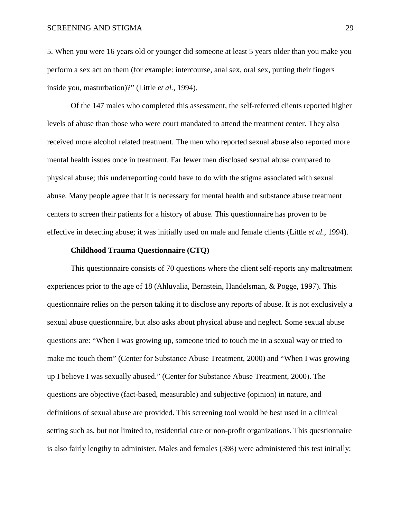5. When you were 16 years old or younger did someone at least 5 years older than you make you perform a sex act on them (for example: intercourse, anal sex, oral sex, putting their fingers inside you, masturbation)?" (Little *et al.,* 1994).

Of the 147 males who completed this assessment, the self-referred clients reported higher levels of abuse than those who were court mandated to attend the treatment center. They also received more alcohol related treatment. The men who reported sexual abuse also reported more mental health issues once in treatment. Far fewer men disclosed sexual abuse compared to physical abuse; this underreporting could have to do with the stigma associated with sexual abuse. Many people agree that it is necessary for mental health and substance abuse treatment centers to screen their patients for a history of abuse. This questionnaire has proven to be effective in detecting abuse; it was initially used on male and female clients (Little *et al.,* 1994).

### **Childhood Trauma Questionnaire (CTQ)**

This questionnaire consists of 70 questions where the client self-reports any maltreatment experiences prior to the age of 18 (Ahluvalia, Bernstein, Handelsman, & Pogge, 1997). This questionnaire relies on the person taking it to disclose any reports of abuse. It is not exclusively a sexual abuse questionnaire, but also asks about physical abuse and neglect. Some sexual abuse questions are: "When I was growing up, someone tried to touch me in a sexual way or tried to make me touch them" (Center for Substance Abuse Treatment, 2000) and "When I was growing up I believe I was sexually abused." (Center for Substance Abuse Treatment, 2000). The questions are objective (fact-based, measurable) and subjective (opinion) in nature, and definitions of sexual abuse are provided. This screening tool would be best used in a clinical setting such as, but not limited to, residential care or non-profit organizations. This questionnaire is also fairly lengthy to administer. Males and females (398) were administered this test initially;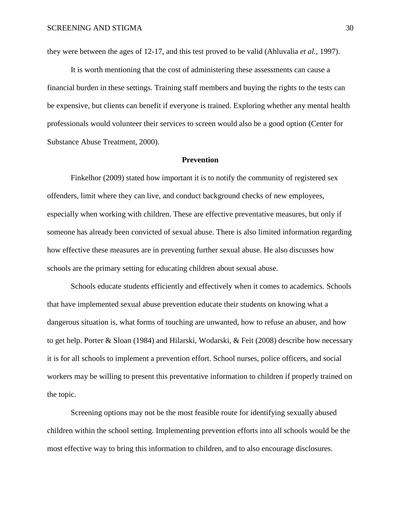they were between the ages of 12-17, and this test proved to be valid (Ahluvalia *et al.,* 1997).

It is worth mentioning that the cost of administering these assessments can cause a financial burden in these settings. Training staff members and buying the rights to the tests can be expensive, but clients can benefit if everyone is trained. Exploring whether any mental health professionals would volunteer their services to screen would also be a good option (Center for Substance Abuse Treatment, 2000).

### **Prevention**

Finkelhor (2009) stated how important it is to notify the community of registered sex offenders, limit where they can live, and conduct background checks of new employees, especially when working with children. These are effective preventative measures, but only if someone has already been convicted of sexual abuse. There is also limited information regarding how effective these measures are in preventing further sexual abuse. He also discusses how schools are the primary setting for educating children about sexual abuse.

Schools educate students efficiently and effectively when it comes to academics. Schools that have implemented sexual abuse prevention educate their students on knowing what a dangerous situation is, what forms of touching are unwanted, how to refuse an abuser, and how to get help. Porter & Sloan (1984) and Hilarski, Wodarski, & Feit (2008) describe how necessary it is for all schools to implement a prevention effort. School nurses, police officers, and social workers may be willing to present this preventative information to children if properly trained on the topic.

Screening options may not be the most feasible route for identifying sexually abused children within the school setting. Implementing prevention efforts into all schools would be the most effective way to bring this information to children, and to also encourage disclosures.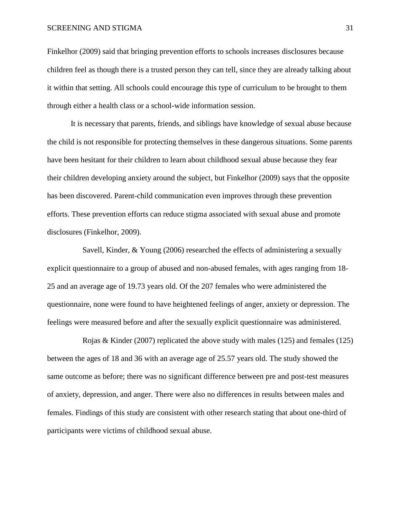### SCREENING AND STIGMA 31

Finkelhor (2009) said that bringing prevention efforts to schools increases disclosures because children feel as though there is a trusted person they can tell, since they are already talking about it within that setting. All schools could encourage this type of curriculum to be brought to them through either a health class or a school-wide information session.

It is necessary that parents, friends, and siblings have knowledge of sexual abuse because the child is not responsible for protecting themselves in these dangerous situations. Some parents have been hesitant for their children to learn about childhood sexual abuse because they fear their children developing anxiety around the subject, but Finkelhor (2009) says that the opposite has been discovered. Parent-child communication even improves through these prevention efforts. These prevention efforts can reduce stigma associated with sexual abuse and promote disclosures (Finkelhor, 2009).

Savell, Kinder, & Young (2006) researched the effects of administering a sexually explicit questionnaire to a group of abused and non-abused females, with ages ranging from 18- 25 and an average age of 19.73 years old. Of the 207 females who were administered the questionnaire, none were found to have heightened feelings of anger, anxiety or depression. The feelings were measured before and after the sexually explicit questionnaire was administered.

Rojas & Kinder (2007) replicated the above study with males (125) and females (125) between the ages of 18 and 36 with an average age of 25.57 years old. The study showed the same outcome as before; there was no significant difference between pre and post-test measures of anxiety, depression, and anger. There were also no differences in results between males and females. Findings of this study are consistent with other research stating that about one-third of participants were victims of childhood sexual abuse.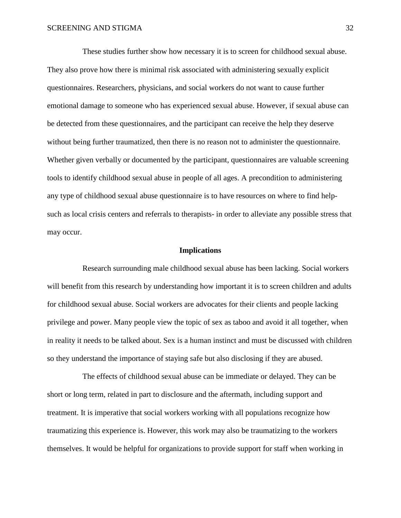These studies further show how necessary it is to screen for childhood sexual abuse. They also prove how there is minimal risk associated with administering sexually explicit questionnaires. Researchers, physicians, and social workers do not want to cause further emotional damage to someone who has experienced sexual abuse. However, if sexual abuse can be detected from these questionnaires, and the participant can receive the help they deserve without being further traumatized, then there is no reason not to administer the questionnaire. Whether given verbally or documented by the participant, questionnaires are valuable screening tools to identify childhood sexual abuse in people of all ages. A precondition to administering any type of childhood sexual abuse questionnaire is to have resources on where to find helpsuch as local crisis centers and referrals to therapists- in order to alleviate any possible stress that may occur.

#### **Implications**

Research surrounding male childhood sexual abuse has been lacking. Social workers will benefit from this research by understanding how important it is to screen children and adults for childhood sexual abuse. Social workers are advocates for their clients and people lacking privilege and power. Many people view the topic of sex as taboo and avoid it all together, when in reality it needs to be talked about. Sex is a human instinct and must be discussed with children so they understand the importance of staying safe but also disclosing if they are abused.

The effects of childhood sexual abuse can be immediate or delayed. They can be short or long term, related in part to disclosure and the aftermath, including support and treatment. It is imperative that social workers working with all populations recognize how traumatizing this experience is. However, this work may also be traumatizing to the workers themselves. It would be helpful for organizations to provide support for staff when working in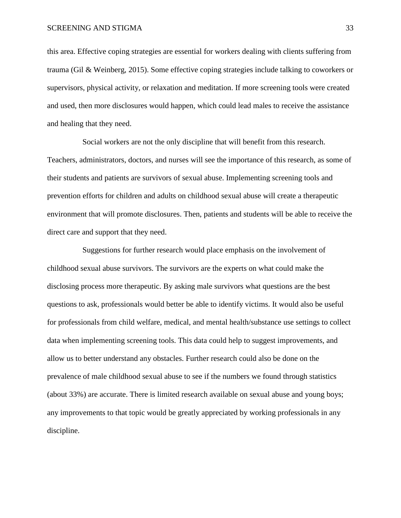this area. Effective coping strategies are essential for workers dealing with clients suffering from trauma (Gil & Weinberg, 2015). Some effective coping strategies include talking to coworkers or supervisors, physical activity, or relaxation and meditation. If more screening tools were created and used, then more disclosures would happen, which could lead males to receive the assistance and healing that they need.

Social workers are not the only discipline that will benefit from this research. Teachers, administrators, doctors, and nurses will see the importance of this research, as some of their students and patients are survivors of sexual abuse. Implementing screening tools and prevention efforts for children and adults on childhood sexual abuse will create a therapeutic environment that will promote disclosures. Then, patients and students will be able to receive the direct care and support that they need.

Suggestions for further research would place emphasis on the involvement of childhood sexual abuse survivors. The survivors are the experts on what could make the disclosing process more therapeutic. By asking male survivors what questions are the best questions to ask, professionals would better be able to identify victims. It would also be useful for professionals from child welfare, medical, and mental health/substance use settings to collect data when implementing screening tools. This data could help to suggest improvements, and allow us to better understand any obstacles. Further research could also be done on the prevalence of male childhood sexual abuse to see if the numbers we found through statistics (about 33%) are accurate. There is limited research available on sexual abuse and young boys; any improvements to that topic would be greatly appreciated by working professionals in any discipline.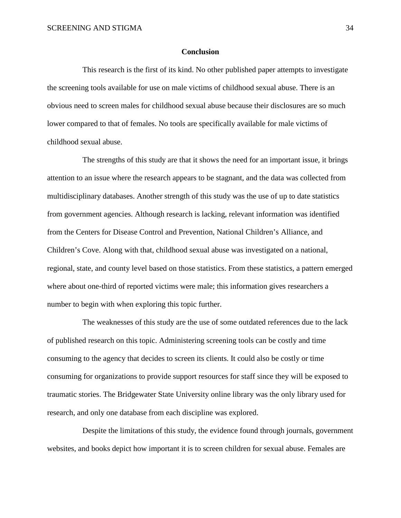### **Conclusion**

This research is the first of its kind. No other published paper attempts to investigate the screening tools available for use on male victims of childhood sexual abuse. There is an obvious need to screen males for childhood sexual abuse because their disclosures are so much lower compared to that of females. No tools are specifically available for male victims of childhood sexual abuse.

The strengths of this study are that it shows the need for an important issue, it brings attention to an issue where the research appears to be stagnant, and the data was collected from multidisciplinary databases. Another strength of this study was the use of up to date statistics from government agencies. Although research is lacking, relevant information was identified from the Centers for Disease Control and Prevention, National Children's Alliance, and Children's Cove. Along with that, childhood sexual abuse was investigated on a national, regional, state, and county level based on those statistics. From these statistics, a pattern emerged where about one-third of reported victims were male; this information gives researchers a number to begin with when exploring this topic further.

The weaknesses of this study are the use of some outdated references due to the lack of published research on this topic. Administering screening tools can be costly and time consuming to the agency that decides to screen its clients. It could also be costly or time consuming for organizations to provide support resources for staff since they will be exposed to traumatic stories. The Bridgewater State University online library was the only library used for research, and only one database from each discipline was explored.

Despite the limitations of this study, the evidence found through journals, government websites, and books depict how important it is to screen children for sexual abuse. Females are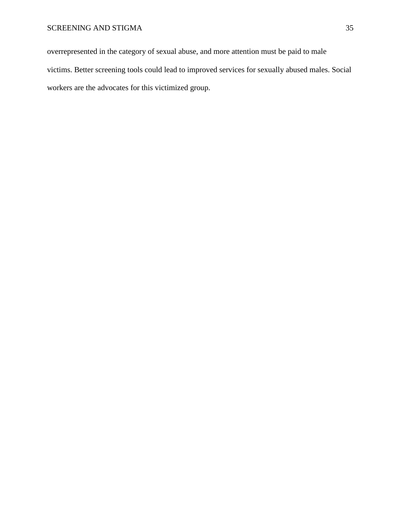overrepresented in the category of sexual abuse, and more attention must be paid to male victims. Better screening tools could lead to improved services for sexually abused males. Social workers are the advocates for this victimized group.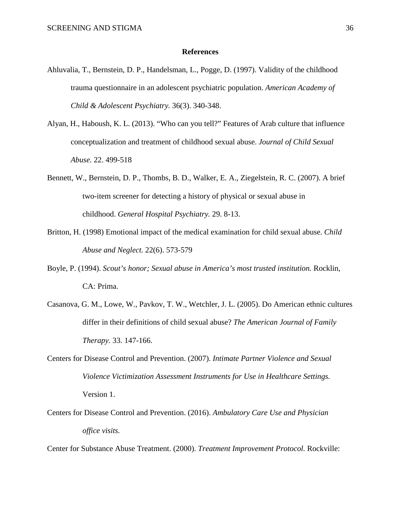### **References**

- Ahluvalia, T., Bernstein, D. P., Handelsman, L., Pogge, D. (1997). Validity of the childhood trauma questionnaire in an adolescent psychiatric population. *American Academy of Child & Adolescent Psychiatry.* 36(3). 340-348.
- Alyan, H., Haboush, K. L. (2013). "Who can you tell?" Features of Arab culture that influence conceptualization and treatment of childhood sexual abuse. *Journal of Child Sexual Abuse.* 22. 499-518
- Bennett, W., Bernstein, D. P., Thombs, B. D., Walker, E. A., Ziegelstein, R. C. (2007). A brief two-item screener for detecting a history of physical or sexual abuse in childhood. *General Hospital Psychiatry.* 29. 8-13.
- Britton, H. (1998) Emotional impact of the medical examination for child sexual abuse. *Child Abuse and Neglect.* 22(6). 573-579
- Boyle, P. (1994). *Scout's honor; Sexual abuse in America's most trusted institution.* Rocklin, CA: Prima.
- Casanova, G. M., Lowe, W., Pavkov, T. W., Wetchler, J. L. (2005). Do American ethnic cultures differ in their definitions of child sexual abuse? *The American Journal of Family Therapy.* 33. 147-166.
- Centers for Disease Control and Prevention. (2007). *Intimate Partner Violence and Sexual Violence Victimization Assessment Instruments for Use in Healthcare Settings.*  Version 1.
- Centers for Disease Control and Prevention. (2016). *Ambulatory Care Use and Physician office visits.*

Center for Substance Abuse Treatment. (2000). *Treatment Improvement Protocol.* Rockville: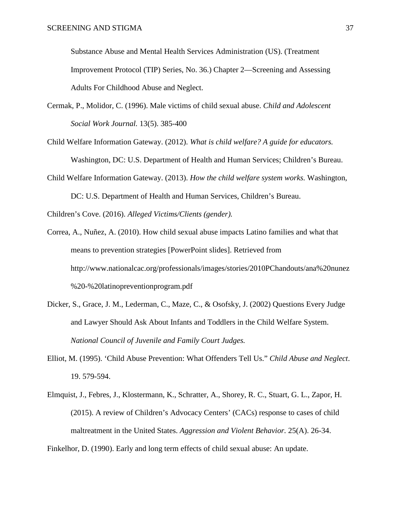Substance Abuse and Mental Health Services Administration (US). (Treatment Improvement Protocol (TIP) Series, No. 36.) Chapter 2—Screening and Assessing Adults For Childhood Abuse and Neglect.

- Cermak, P., Molidor, C. (1996). Male victims of child sexual abuse. *Child and Adolescent Social Work Journal.* 13(5). 385-400
- Child Welfare Information Gateway. (2012). *What is child welfare? A guide for educators.*  Washington, DC: U.S. Department of Health and Human Services; Children's Bureau.
- Child Welfare Information Gateway. (2013). *How the child welfare system works.* Washington, DC: U.S. Department of Health and Human Services, Children's Bureau.

Children's Cove. (2016). *Alleged Victims/Clients (gender).*

- Correa, A., Nuñez, A. (2010). How child sexual abuse impacts Latino families and what that means to prevention strategies [PowerPoint slides]. Retrieved from <http://www.nationalcac.org/professionals/images/stories/2010PChandouts/ana%20nunez> %20-%20latinopreventionprogram.pdf
- Dicker, S., Grace, J. M., Lederman, C., Maze, C., & Osofsky, J. (2002) Questions Every Judge and Lawyer Should Ask About Infants and Toddlers in the Child Welfare System. *National Council of Juvenile and Family Court Judges.*
- Elliot, M. (1995). 'Child Abuse Prevention: What Offenders Tell Us." *Child Abuse and Neglect*. 19. 579-594.
- Elmquist, J., Febres, J., Klostermann, K., Schratter, A., Shorey, R. C., Stuart, G. L., Zapor, H. (2015). A review of Children's Advocacy Centers' (CACs) response to cases of child maltreatment in the United States. *Aggression and Violent Behavior.* 25(A). 26-34.

Finkelhor, D. (1990). Early and long term effects of child sexual abuse: An update.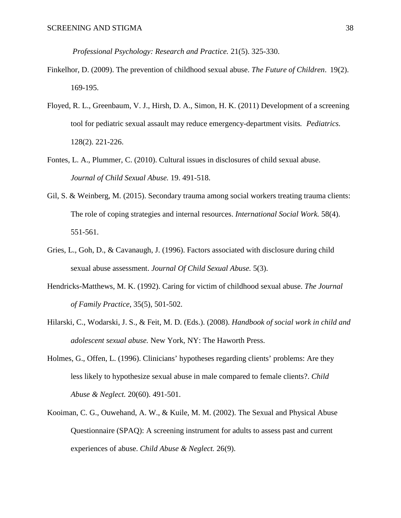*Professional Psychology: Research and Practice.* 21(5). 325-330.

- Finkelhor, D. (2009). The prevention of childhood sexual abuse. *The Future of Children*. 19(2). 169-195.
- Floyed, R. L., Greenbaum, V. J., Hirsh, D. A., Simon, H. K. (2011) Development of a screening tool for pediatric sexual assault may reduce emergency-department visits*. Pediatrics.*  128(2). 221-226.
- Fontes, L. A., Plummer, C. (2010). Cultural issues in disclosures of child sexual abuse. *Journal of Child Sexual Abuse.* 19. 491-518.
- Gil, S. & Weinberg, M. (2015). Secondary trauma among social workers treating trauma clients: The role of coping strategies and internal resources. *International Social Work.* 58(4). 551-561.
- Gries, L., Goh, D., & Cavanaugh, J. (1996). Factors associated with disclosure during child sexual abuse assessment. *Journal Of Child Sexual Abuse.* 5(3).
- Hendricks-Matthews, M. K. (1992). Caring for victim of childhood sexual abuse. *The Journal of Family Practice*, 35(5), 501-502.
- Hilarski, C., Wodarski, J. S., & Feit, M. D. (Eds.). (2008). *Handbook of social work in child and adolescent sexual abuse.* New York, NY: The Haworth Press.
- Holmes, G., Offen, L. (1996). Clinicians' hypotheses regarding clients' problems: Are they less likely to hypothesize sexual abuse in male compared to female clients?. *Child Abuse & Neglect.* 20(60). 491-501.
- Kooiman, C. G., Ouwehand, A. W., & Kuile, M. M. (2002). The Sexual and Physical Abuse Questionnaire (SPAQ): A screening instrument for adults to assess past and current experiences of abuse. *Child Abuse & Neglect.* 26(9).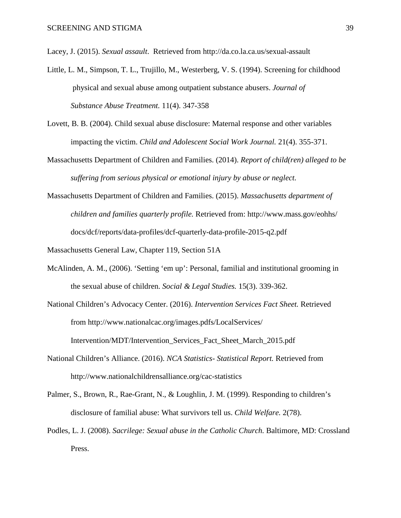Lacey, J. (2015). *Sexual assault*. Retrieved from http://da.co.la.ca.us/sexual-assault

- Little, L. M., Simpson, T. L., Trujillo, M., Westerberg, V. S. (1994). Screening for childhood physical and sexual abuse among outpatient substance abusers. *Journal of Substance Abuse Treatment.* 11(4). 347-358
- Lovett, B. B. (2004). Child sexual abuse disclosure: Maternal response and other variables impacting the victim. *Child and Adolescent Social Work Journal.* 21(4). 355-371.
- Massachusetts Department of Children and Families. (2014). *Report of child(ren) alleged to be suffering from serious physical or emotional injury by abuse or neglect.*
- Massachusetts Department of Children and Families. (2015). *Massachusetts department of children and families quarterly profile.* Retrieved from:<http://www.mass.gov/eohhs/> docs/dcf/reports/data-profiles/dcf-quarterly-data-profile-2015-q2.pdf

Massachusetts General Law, Chapter 119, Section 51A

- McAlinden, A. M., (2006). 'Setting 'em up': Personal, familial and institutional grooming in the sexual abuse of children. *Social & Legal Studies.* 15(3). 339-362.
- National Children's Advocacy Center. (2016). *Intervention Services Fact Sheet.* Retrieved from<http://www.nationalcac.org/images.pdfs/LocalServices/> Intervention/MDT/Intervention\_Services\_Fact\_Sheet\_March\_2015.pdf
- National Children's Alliance. (2016). *NCA Statistics- Statistical Report.* Retrieved from <http://www.nationalchildrensalliance.org/cac-statistics>
- Palmer, S., Brown, R., Rae-Grant, N., & Loughlin, J. M. (1999). Responding to children's disclosure of familial abuse: What survivors tell us. *Child Welfare.* 2(78).
- Podles, L. J. (2008). *Sacrilege: Sexual abuse in the Catholic Church.* Baltimore, MD: Crossland Press.